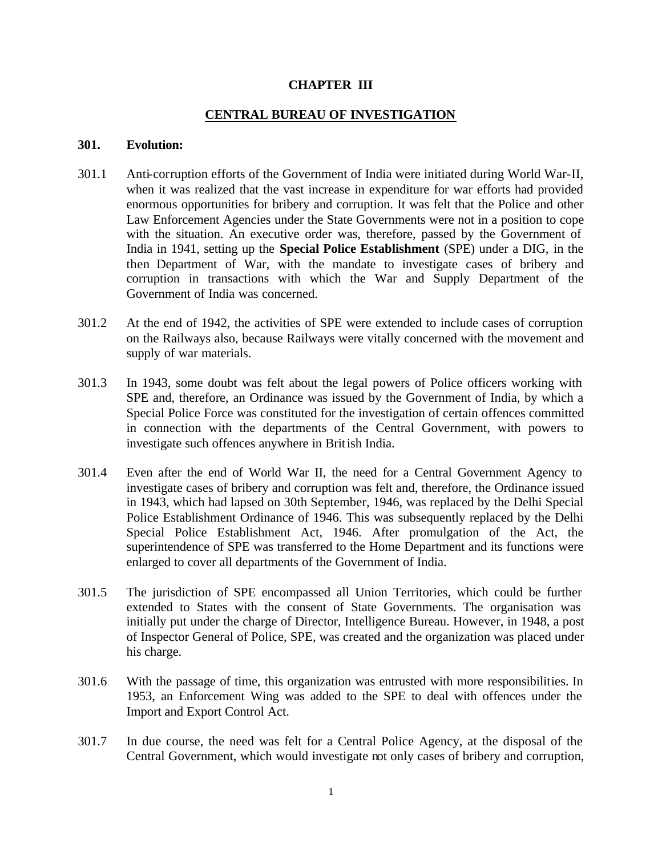#### **CHAPTER III**

## **CENTRAL BUREAU OF INVESTIGATION**

#### **301. Evolution:**

- 301.1 Anti-corruption efforts of the Government of India were initiated during World War-II, when it was realized that the vast increase in expenditure for war efforts had provided enormous opportunities for bribery and corruption. It was felt that the Police and other Law Enforcement Agencies under the State Governments were not in a position to cope with the situation. An executive order was, therefore, passed by the Government of India in 1941, setting up the **Special Police Establishment** (SPE) under a DIG, in the then Department of War, with the mandate to investigate cases of bribery and corruption in transactions with which the War and Supply Department of the Government of India was concerned.
- 301.2 At the end of 1942, the activities of SPE were extended to include cases of corruption on the Railways also, because Railways were vitally concerned with the movement and supply of war materials.
- 301.3 In 1943, some doubt was felt about the legal powers of Police officers working with SPE and, therefore, an Ordinance was issued by the Government of India, by which a Special Police Force was constituted for the investigation of certain offences committed in connection with the departments of the Central Government, with powers to investigate such offences anywhere in British India.
- 301.4 Even after the end of World War II, the need for a Central Government Agency to investigate cases of bribery and corruption was felt and, therefore, the Ordinance issued in 1943, which had lapsed on 30th September, 1946, was replaced by the Delhi Special Police Establishment Ordinance of 1946. This was subsequently replaced by the Delhi Special Police Establishment Act, 1946. After promulgation of the Act, the superintendence of SPE was transferred to the Home Department and its functions were enlarged to cover all departments of the Government of India.
- 301.5 The jurisdiction of SPE encompassed all Union Territories, which could be further extended to States with the consent of State Governments. The organisation was initially put under the charge of Director, Intelligence Bureau. However, in 1948, a post of Inspector General of Police, SPE, was created and the organization was placed under his charge.
- 301.6 With the passage of time, this organization was entrusted with more responsibilities. In 1953, an Enforcement Wing was added to the SPE to deal with offences under the Import and Export Control Act.
- 301.7 In due course, the need was felt for a Central Police Agency, at the disposal of the Central Government, which would investigate not only cases of bribery and corruption,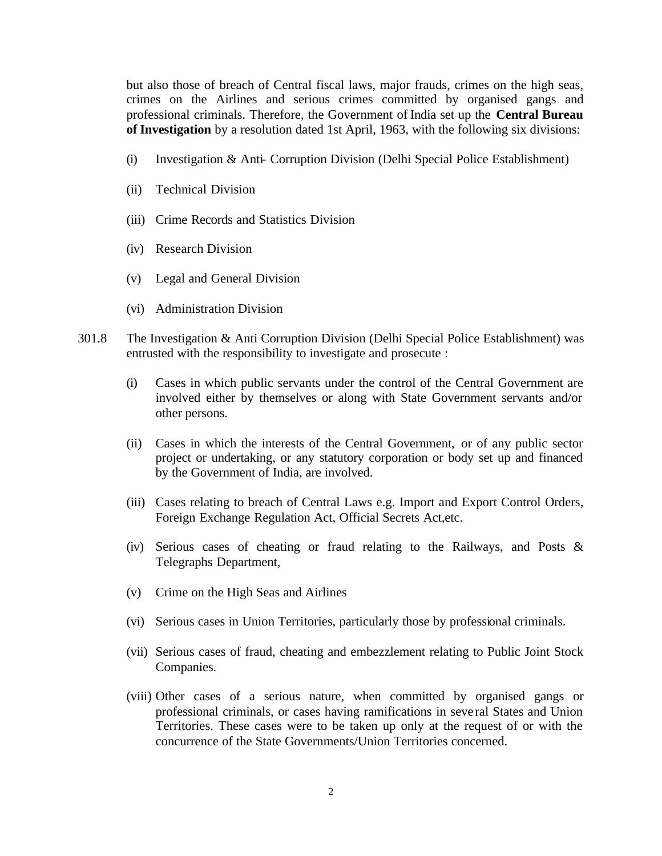but also those of breach of Central fiscal laws, major frauds, crimes on the high seas, crimes on the Airlines and serious crimes committed by organised gangs and professional criminals. Therefore, the Government of India set up the **Central Bureau of Investigation** by a resolution dated 1st April, 1963, with the following six divisions:

- (i) Investigation & Anti- Corruption Division (Delhi Special Police Establishment)
- (ii) Technical Division
- (iii) Crime Records and Statistics Division
- (iv) Research Division
- (v) Legal and General Division
- (vi) Administration Division
- 301.8 The Investigation & Anti Corruption Division (Delhi Special Police Establishment) was entrusted with the responsibility to investigate and prosecute :
	- (i) Cases in which public servants under the control of the Central Government are involved either by themselves or along with State Government servants and/or other persons.
	- (ii) Cases in which the interests of the Central Government, or of any public sector project or undertaking, or any statutory corporation or body set up and financed by the Government of India, are involved.
	- (iii) Cases relating to breach of Central Laws e.g. Import and Export Control Orders, Foreign Exchange Regulation Act, Official Secrets Act,etc.
	- (iv) Serious cases of cheating or fraud relating to the Railways, and Posts & Telegraphs Department,
	- (v) Crime on the High Seas and Airlines
	- (vi) Serious cases in Union Territories, particularly those by professional criminals.
	- (vii) Serious cases of fraud, cheating and embezzlement relating to Public Joint Stock Companies.
	- (viii) Other cases of a serious nature, when committed by organised gangs or professional criminals, or cases having ramifications in seve ral States and Union Territories. These cases were to be taken up only at the request of or with the concurrence of the State Governments/Union Territories concerned.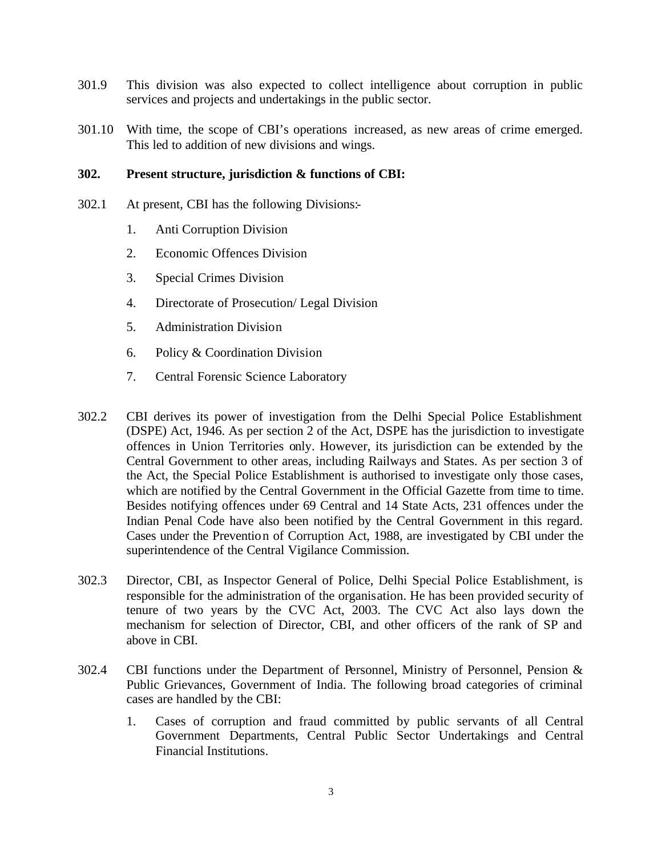- 301.9 This division was also expected to collect intelligence about corruption in public services and projects and undertakings in the public sector.
- 301.10 With time, the scope of CBI's operations increased, as new areas of crime emerged. This led to addition of new divisions and wings.

#### **302. Present structure, jurisdiction & functions of CBI:**

- 302.1 At present, CBI has the following Divisions:-
	- 1. Anti Corruption Division
	- 2. Economic Offences Division
	- 3. Special Crimes Division
	- 4. Directorate of Prosecution/ Legal Division
	- 5. Administration Division
	- 6. Policy & Coordination Division
	- 7. Central Forensic Science Laboratory
- 302.2 CBI derives its power of investigation from the Delhi Special Police Establishment (DSPE) Act, 1946. As per section 2 of the Act, DSPE has the jurisdiction to investigate offences in Union Territories only. However, its jurisdiction can be extended by the Central Government to other areas, including Railways and States. As per section 3 of the Act, the Special Police Establishment is authorised to investigate only those cases, which are notified by the Central Government in the Official Gazette from time to time. Besides notifying offences under 69 Central and 14 State Acts, 231 offences under the Indian Penal Code have also been notified by the Central Government in this regard. Cases under the Prevention of Corruption Act, 1988, are investigated by CBI under the superintendence of the Central Vigilance Commission.
- 302.3 Director, CBI, as Inspector General of Police, Delhi Special Police Establishment, is responsible for the administration of the organisation. He has been provided security of tenure of two years by the CVC Act, 2003. The CVC Act also lays down the mechanism for selection of Director, CBI, and other officers of the rank of SP and above in CBI.
- 302.4 CBI functions under the Department of Personnel, Ministry of Personnel, Pension & Public Grievances, Government of India. The following broad categories of criminal cases are handled by the CBI:
	- 1. Cases of corruption and fraud committed by public servants of all Central Government Departments, Central Public Sector Undertakings and Central Financial Institutions.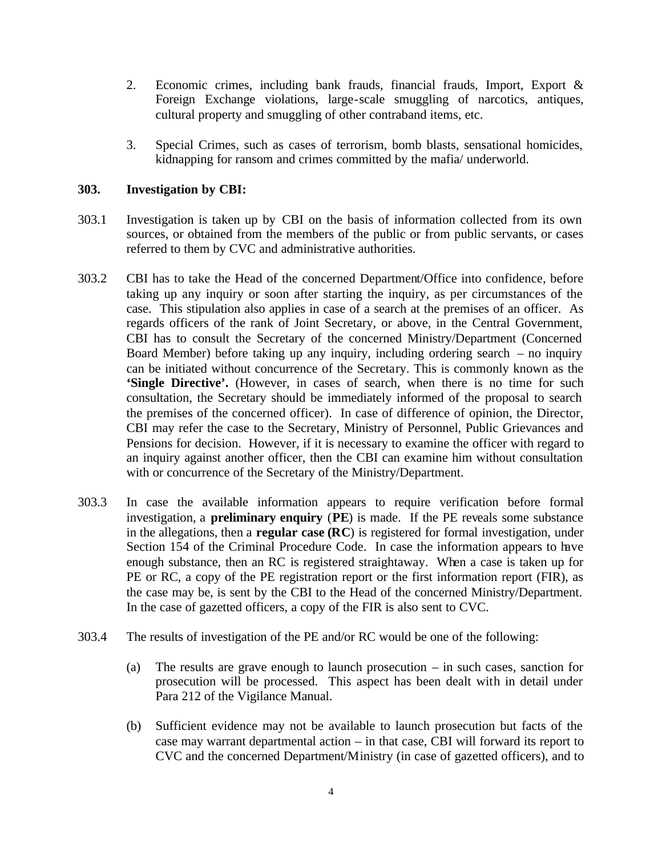- 2. Economic crimes, including bank frauds, financial frauds, Import, Export & Foreign Exchange violations, large-scale smuggling of narcotics, antiques, cultural property and smuggling of other contraband items, etc.
- 3. Special Crimes, such as cases of terrorism, bomb blasts, sensational homicides, kidnapping for ransom and crimes committed by the mafia/ underworld.

# **303. Investigation by CBI:**

- 303.1 Investigation is taken up by CBI on the basis of information collected from its own sources, or obtained from the members of the public or from public servants, or cases referred to them by CVC and administrative authorities.
- 303.2 CBI has to take the Head of the concerned Department/Office into confidence, before taking up any inquiry or soon after starting the inquiry, as per circumstances of the case. This stipulation also applies in case of a search at the premises of an officer. As regards officers of the rank of Joint Secretary, or above, in the Central Government, CBI has to consult the Secretary of the concerned Ministry/Department (Concerned Board Member) before taking up any inquiry, including ordering search – no inquiry can be initiated without concurrence of the Secretary. This is commonly known as the **'Single Directive'.** (However, in cases of search, when there is no time for such consultation, the Secretary should be immediately informed of the proposal to search the premises of the concerned officer). In case of difference of opinion, the Director, CBI may refer the case to the Secretary, Ministry of Personnel, Public Grievances and Pensions for decision. However, if it is necessary to examine the officer with regard to an inquiry against another officer, then the CBI can examine him without consultation with or concurrence of the Secretary of the Ministry/Department.
- 303.3 In case the available information appears to require verification before formal investigation, a **preliminary enquiry** (**PE**) is made. If the PE reveals some substance in the allegations, then a **regular case (RC**) is registered for formal investigation, under Section 154 of the Criminal Procedure Code. In case the information appears to have enough substance, then an RC is registered straightaway. When a case is taken up for PE or RC, a copy of the PE registration report or the first information report (FIR), as the case may be, is sent by the CBI to the Head of the concerned Ministry/Department. In the case of gazetted officers, a copy of the FIR is also sent to CVC.
- 303.4 The results of investigation of the PE and/or RC would be one of the following:
	- (a) The results are grave enough to launch prosecution in such cases, sanction for prosecution will be processed. This aspect has been dealt with in detail under Para 212 of the Vigilance Manual.
	- (b) Sufficient evidence may not be available to launch prosecution but facts of the case may warrant departmental action – in that case, CBI will forward its report to CVC and the concerned Department/Ministry (in case of gazetted officers), and to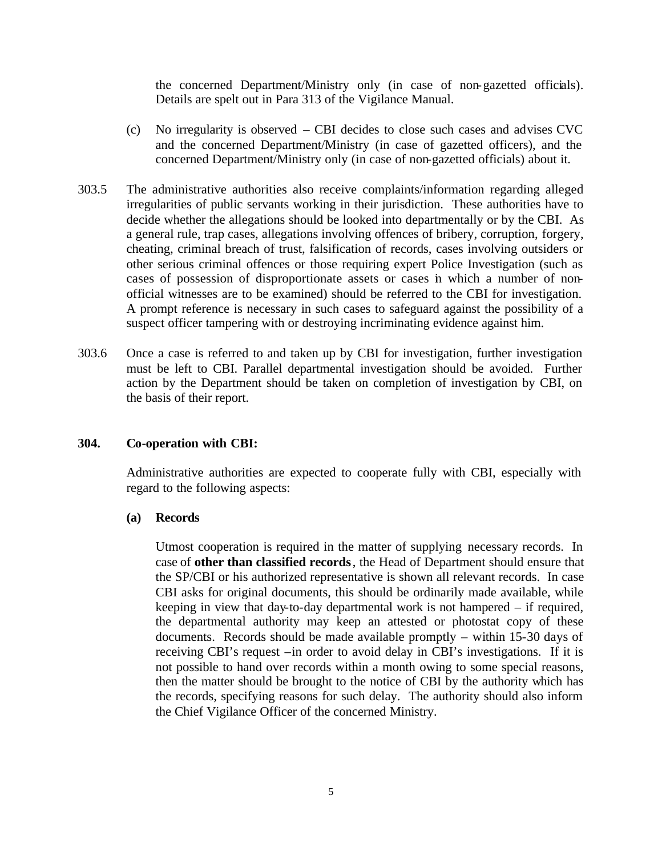the concerned Department/Ministry only (in case of non-gazetted officials). Details are spelt out in Para 313 of the Vigilance Manual.

- (c) No irregularity is observed CBI decides to close such cases and advises CVC and the concerned Department/Ministry (in case of gazetted officers), and the concerned Department/Ministry only (in case of non-gazetted officials) about it.
- 303.5 The administrative authorities also receive complaints/information regarding alleged irregularities of public servants working in their jurisdiction. These authorities have to decide whether the allegations should be looked into departmentally or by the CBI. As a general rule, trap cases, allegations involving offences of bribery, corruption, forgery, cheating, criminal breach of trust, falsification of records, cases involving outsiders or other serious criminal offences or those requiring expert Police Investigation (such as cases of possession of disproportionate assets or cases in which a number of nonofficial witnesses are to be examined) should be referred to the CBI for investigation. A prompt reference is necessary in such cases to safeguard against the possibility of a suspect officer tampering with or destroying incriminating evidence against him.
- 303.6 Once a case is referred to and taken up by CBI for investigation, further investigation must be left to CBI. Parallel departmental investigation should be avoided. Further action by the Department should be taken on completion of investigation by CBI, on the basis of their report.

## **304. Co-operation with CBI:**

Administrative authorities are expected to cooperate fully with CBI, especially with regard to the following aspects:

#### **(a) Records**

Utmost cooperation is required in the matter of supplying necessary records. In case of **other than classified records**, the Head of Department should ensure that the SP/CBI or his authorized representative is shown all relevant records. In case CBI asks for original documents, this should be ordinarily made available, while keeping in view that day-to-day departmental work is not hampered – if required, the departmental authority may keep an attested or photostat copy of these documents. Records should be made available promptly – within 15-30 days of receiving CBI's request –in order to avoid delay in CBI's investigations. If it is not possible to hand over records within a month owing to some special reasons, then the matter should be brought to the notice of CBI by the authority which has the records, specifying reasons for such delay. The authority should also inform the Chief Vigilance Officer of the concerned Ministry.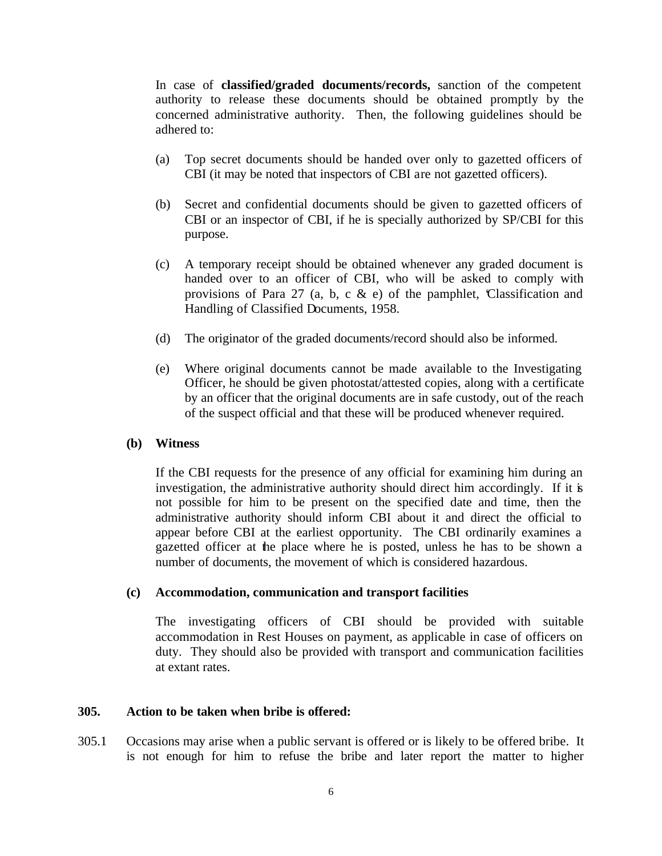In case of **classified/graded documents/records,** sanction of the competent authority to release these documents should be obtained promptly by the concerned administrative authority. Then, the following guidelines should be adhered to:

- (a) Top secret documents should be handed over only to gazetted officers of CBI (it may be noted that inspectors of CBI are not gazetted officers).
- (b) Secret and confidential documents should be given to gazetted officers of CBI or an inspector of CBI, if he is specially authorized by SP/CBI for this purpose.
- (c) A temporary receipt should be obtained whenever any graded document is handed over to an officer of CBI, who will be asked to comply with provisions of Para 27 (a, b, c  $\&$  e) of the pamphlet, Classification and Handling of Classified Documents, 1958.
- (d) The originator of the graded documents/record should also be informed.
- (e) Where original documents cannot be made available to the Investigating Officer, he should be given photostat/attested copies, along with a certificate by an officer that the original documents are in safe custody, out of the reach of the suspect official and that these will be produced whenever required.

#### **(b) Witness**

If the CBI requests for the presence of any official for examining him during an investigation, the administrative authority should direct him accordingly. If it is not possible for him to be present on the specified date and time, then the administrative authority should inform CBI about it and direct the official to appear before CBI at the earliest opportunity. The CBI ordinarily examines a gazetted officer at the place where he is posted, unless he has to be shown a number of documents, the movement of which is considered hazardous.

#### **(c) Accommodation, communication and transport facilities**

The investigating officers of CBI should be provided with suitable accommodation in Rest Houses on payment, as applicable in case of officers on duty. They should also be provided with transport and communication facilities at extant rates.

#### **305. Action to be taken when bribe is offered:**

305.1 Occasions may arise when a public servant is offered or is likely to be offered bribe. It is not enough for him to refuse the bribe and later report the matter to higher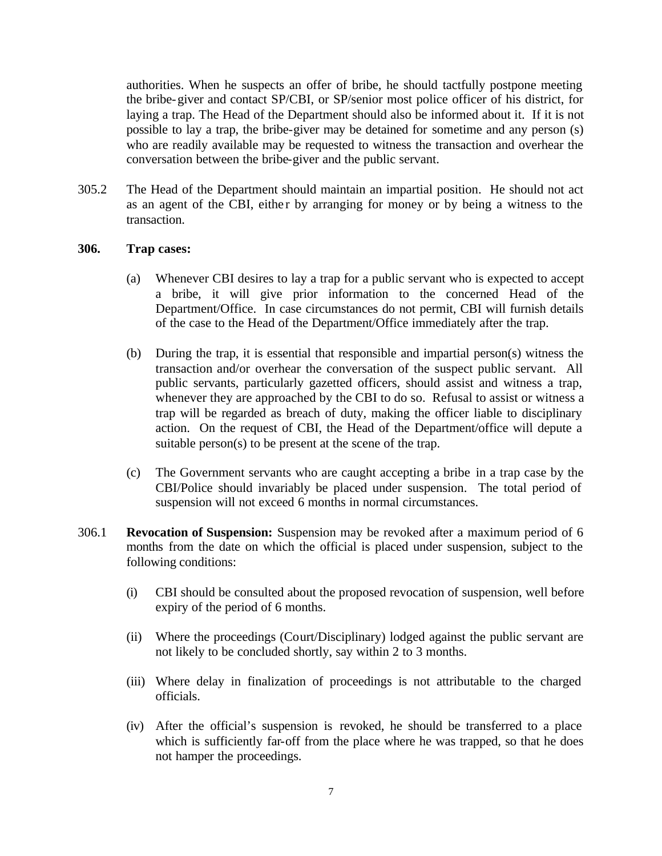authorities. When he suspects an offer of bribe, he should tactfully postpone meeting the bribe-giver and contact SP/CBI, or SP/senior most police officer of his district, for laying a trap. The Head of the Department should also be informed about it. If it is not possible to lay a trap, the bribe-giver may be detained for sometime and any person (s) who are readily available may be requested to witness the transaction and overhear the conversation between the bribe-giver and the public servant.

305.2 The Head of the Department should maintain an impartial position. He should not act as an agent of the CBI, either by arranging for money or by being a witness to the transaction.

#### **306. Trap cases:**

- (a) Whenever CBI desires to lay a trap for a public servant who is expected to accept a bribe, it will give prior information to the concerned Head of the Department/Office. In case circumstances do not permit, CBI will furnish details of the case to the Head of the Department/Office immediately after the trap.
- (b) During the trap, it is essential that responsible and impartial person(s) witness the transaction and/or overhear the conversation of the suspect public servant. All public servants, particularly gazetted officers, should assist and witness a trap, whenever they are approached by the CBI to do so. Refusal to assist or witness a trap will be regarded as breach of duty, making the officer liable to disciplinary action. On the request of CBI, the Head of the Department/office will depute a suitable person(s) to be present at the scene of the trap.
- (c) The Government servants who are caught accepting a bribe in a trap case by the CBI/Police should invariably be placed under suspension. The total period of suspension will not exceed 6 months in normal circumstances.
- 306.1 **Revocation of Suspension:** Suspension may be revoked after a maximum period of 6 months from the date on which the official is placed under suspension, subject to the following conditions:
	- (i) CBI should be consulted about the proposed revocation of suspension, well before expiry of the period of 6 months.
	- (ii) Where the proceedings (Court/Disciplinary) lodged against the public servant are not likely to be concluded shortly, say within 2 to 3 months.
	- (iii) Where delay in finalization of proceedings is not attributable to the charged officials.
	- (iv) After the official's suspension is revoked, he should be transferred to a place which is sufficiently far-off from the place where he was trapped, so that he does not hamper the proceedings.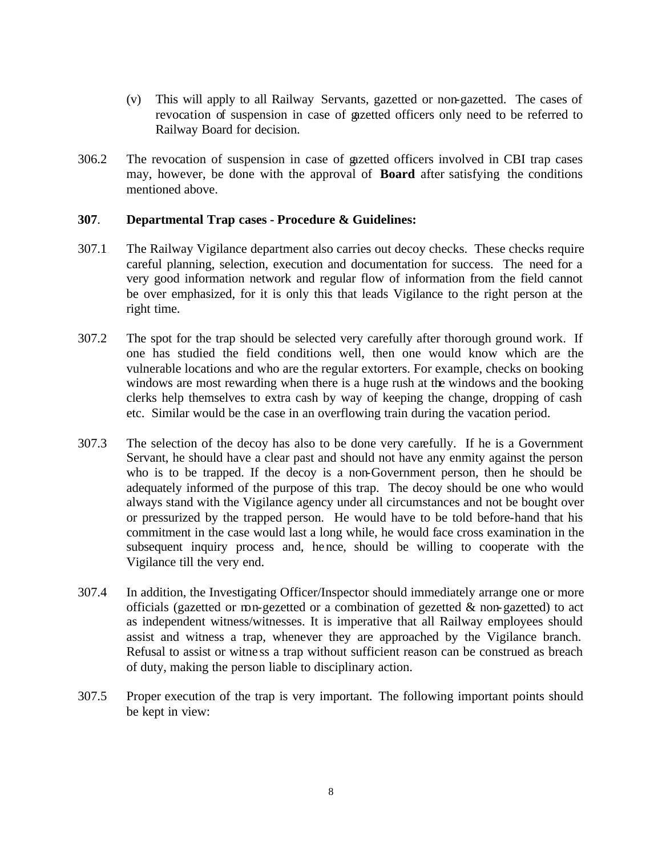- (v) This will apply to all Railway Servants, gazetted or non-gazetted. The cases of revocation of suspension in case of gazetted officers only need to be referred to Railway Board for decision.
- 306.2 The revocation of suspension in case of gazetted officers involved in CBI trap cases may, however, be done with the approval of **Board** after satisfying the conditions mentioned above.

#### **307**. **Departmental Trap cases - Procedure & Guidelines:**

- 307.1 The Railway Vigilance department also carries out decoy checks. These checks require careful planning, selection, execution and documentation for success. The need for a very good information network and regular flow of information from the field cannot be over emphasized, for it is only this that leads Vigilance to the right person at the right time.
- 307.2 The spot for the trap should be selected very carefully after thorough ground work. If one has studied the field conditions well, then one would know which are the vulnerable locations and who are the regular extorters. For example, checks on booking windows are most rewarding when there is a huge rush at the windows and the booking clerks help themselves to extra cash by way of keeping the change, dropping of cash etc. Similar would be the case in an overflowing train during the vacation period.
- 307.3 The selection of the decoy has also to be done very carefully. If he is a Government Servant, he should have a clear past and should not have any enmity against the person who is to be trapped. If the decoy is a non-Government person, then he should be adequately informed of the purpose of this trap. The decoy should be one who would always stand with the Vigilance agency under all circumstances and not be bought over or pressurized by the trapped person. He would have to be told before-hand that his commitment in the case would last a long while, he would face cross examination in the subsequent inquiry process and, hence, should be willing to cooperate with the Vigilance till the very end.
- 307.4 In addition, the Investigating Officer/Inspector should immediately arrange one or more officials (gazetted or non-gezetted or a combination of gezetted & non-gazetted) to act as independent witness/witnesses. It is imperative that all Railway employees should assist and witness a trap, whenever they are approached by the Vigilance branch. Refusal to assist or witne ss a trap without sufficient reason can be construed as breach of duty, making the person liable to disciplinary action.
- 307.5 Proper execution of the trap is very important. The following important points should be kept in view: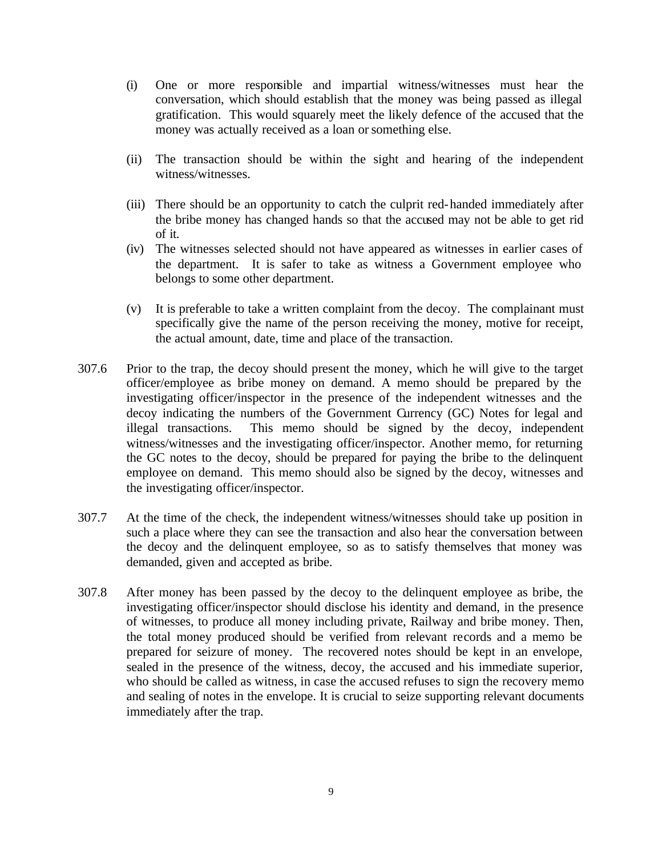- (i) One or more responsible and impartial witness/witnesses must hear the conversation, which should establish that the money was being passed as illegal gratification. This would squarely meet the likely defence of the accused that the money was actually received as a loan or something else.
- (ii) The transaction should be within the sight and hearing of the independent witness/witnesses.
- (iii) There should be an opportunity to catch the culprit red-handed immediately after the bribe money has changed hands so that the accused may not be able to get rid of it.
- (iv) The witnesses selected should not have appeared as witnesses in earlier cases of the department. It is safer to take as witness a Government employee who belongs to some other department.
- (v) It is preferable to take a written complaint from the decoy. The complainant must specifically give the name of the person receiving the money, motive for receipt, the actual amount, date, time and place of the transaction.
- 307.6 Prior to the trap, the decoy should present the money, which he will give to the target officer/employee as bribe money on demand. A memo should be prepared by the investigating officer/inspector in the presence of the independent witnesses and the decoy indicating the numbers of the Government Currency (GC) Notes for legal and illegal transactions. This memo should be signed by the decoy, independent witness/witnesses and the investigating officer/inspector. Another memo, for returning the GC notes to the decoy, should be prepared for paying the bribe to the delinquent employee on demand. This memo should also be signed by the decoy, witnesses and the investigating officer/inspector.
- 307.7 At the time of the check, the independent witness/witnesses should take up position in such a place where they can see the transaction and also hear the conversation between the decoy and the delinquent employee, so as to satisfy themselves that money was demanded, given and accepted as bribe.
- 307.8 After money has been passed by the decoy to the delinquent employee as bribe, the investigating officer/inspector should disclose his identity and demand, in the presence of witnesses, to produce all money including private, Railway and bribe money. Then, the total money produced should be verified from relevant records and a memo be prepared for seizure of money. The recovered notes should be kept in an envelope, sealed in the presence of the witness, decoy, the accused and his immediate superior, who should be called as witness, in case the accused refuses to sign the recovery memo and sealing of notes in the envelope. It is crucial to seize supporting relevant documents immediately after the trap.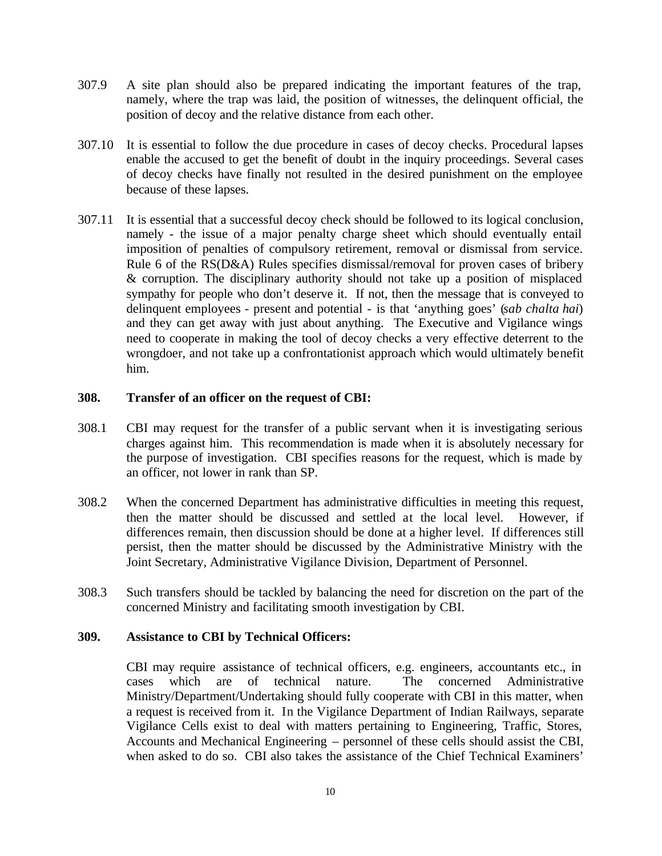- 307.9 A site plan should also be prepared indicating the important features of the trap, namely, where the trap was laid, the position of witnesses, the delinquent official, the position of decoy and the relative distance from each other.
- 307.10 It is essential to follow the due procedure in cases of decoy checks. Procedural lapses enable the accused to get the benefit of doubt in the inquiry proceedings. Several cases of decoy checks have finally not resulted in the desired punishment on the employee because of these lapses.
- 307.11 It is essential that a successful decoy check should be followed to its logical conclusion, namely - the issue of a major penalty charge sheet which should eventually entail imposition of penalties of compulsory retirement, removal or dismissal from service. Rule 6 of the RS(D&A) Rules specifies dismissal/removal for proven cases of bribery & corruption. The disciplinary authority should not take up a position of misplaced sympathy for people who don't deserve it. If not, then the message that is conveyed to delinquent employees - present and potential - is that 'anything goes' (*sab chalta hai*) and they can get away with just about anything. The Executive and Vigilance wings need to cooperate in making the tool of decoy checks a very effective deterrent to the wrongdoer, and not take up a confrontationist approach which would ultimately benefit him.

#### **308. Transfer of an officer on the request of CBI:**

- 308.1 CBI may request for the transfer of a public servant when it is investigating serious charges against him. This recommendation is made when it is absolutely necessary for the purpose of investigation. CBI specifies reasons for the request, which is made by an officer, not lower in rank than SP.
- 308.2 When the concerned Department has administrative difficulties in meeting this request, then the matter should be discussed and settled at the local level. However, if differences remain, then discussion should be done at a higher level. If differences still persist, then the matter should be discussed by the Administrative Ministry with the Joint Secretary, Administrative Vigilance Division, Department of Personnel.
- 308.3 Such transfers should be tackled by balancing the need for discretion on the part of the concerned Ministry and facilitating smooth investigation by CBI.

## **309. Assistance to CBI by Technical Officers:**

CBI may require assistance of technical officers, e.g. engineers, accountants etc., in cases which are of technical nature. The concerned Administrative Ministry/Department/Undertaking should fully cooperate with CBI in this matter, when a request is received from it. In the Vigilance Department of Indian Railways, separate Vigilance Cells exist to deal with matters pertaining to Engineering, Traffic, Stores, Accounts and Mechanical Engineering – personnel of these cells should assist the CBI, when asked to do so. CBI also takes the assistance of the Chief Technical Examiners'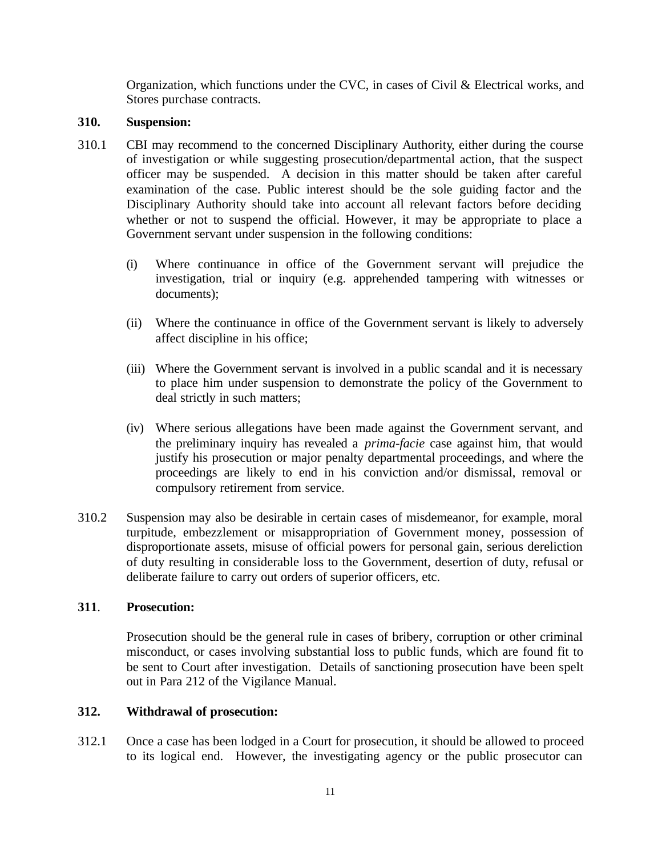Organization, which functions under the CVC, in cases of Civil & Electrical works, and Stores purchase contracts.

## **310. Suspension:**

- 310.1 CBI may recommend to the concerned Disciplinary Authority, either during the course of investigation or while suggesting prosecution/departmental action, that the suspect officer may be suspended. A decision in this matter should be taken after careful examination of the case. Public interest should be the sole guiding factor and the Disciplinary Authority should take into account all relevant factors before deciding whether or not to suspend the official. However, it may be appropriate to place a Government servant under suspension in the following conditions:
	- (i) Where continuance in office of the Government servant will prejudice the investigation, trial or inquiry (e.g. apprehended tampering with witnesses or documents);
	- (ii) Where the continuance in office of the Government servant is likely to adversely affect discipline in his office;
	- (iii) Where the Government servant is involved in a public scandal and it is necessary to place him under suspension to demonstrate the policy of the Government to deal strictly in such matters;
	- (iv) Where serious allegations have been made against the Government servant, and the preliminary inquiry has revealed a *prima-facie* case against him, that would justify his prosecution or major penalty departmental proceedings, and where the proceedings are likely to end in his conviction and/or dismissal, removal or compulsory retirement from service.
- 310.2 Suspension may also be desirable in certain cases of misdemeanor, for example, moral turpitude, embezzlement or misappropriation of Government money, possession of disproportionate assets, misuse of official powers for personal gain, serious dereliction of duty resulting in considerable loss to the Government, desertion of duty, refusal or deliberate failure to carry out orders of superior officers, etc.

# **311**. **Prosecution:**

Prosecution should be the general rule in cases of bribery, corruption or other criminal misconduct, or cases involving substantial loss to public funds, which are found fit to be sent to Court after investigation. Details of sanctioning prosecution have been spelt out in Para 212 of the Vigilance Manual.

# **312. Withdrawal of prosecution:**

312.1 Once a case has been lodged in a Court for prosecution, it should be allowed to proceed to its logical end. However, the investigating agency or the public prosecutor can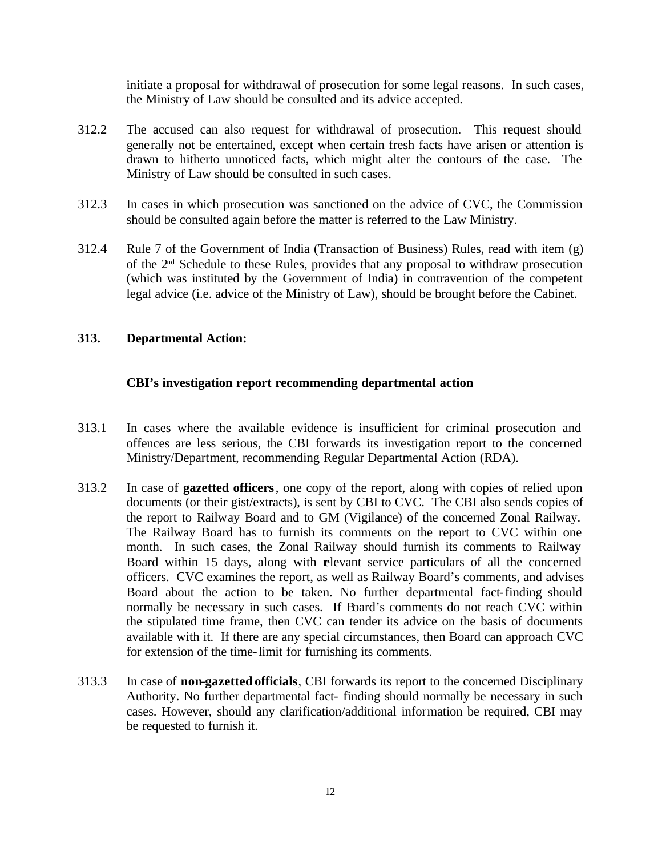initiate a proposal for withdrawal of prosecution for some legal reasons. In such cases, the Ministry of Law should be consulted and its advice accepted.

- 312.2 The accused can also request for withdrawal of prosecution. This request should generally not be entertained, except when certain fresh facts have arisen or attention is drawn to hitherto unnoticed facts, which might alter the contours of the case. The Ministry of Law should be consulted in such cases.
- 312.3 In cases in which prosecution was sanctioned on the advice of CVC, the Commission should be consulted again before the matter is referred to the Law Ministry.
- 312.4 Rule 7 of the Government of India (Transaction of Business) Rules, read with item (g) of the  $2<sup>nd</sup>$  Schedule to these Rules, provides that any proposal to withdraw prosecution (which was instituted by the Government of India) in contravention of the competent legal advice (i.e. advice of the Ministry of Law), should be brought before the Cabinet.

# **313. Departmental Action:**

## **CBI's investigation report recommending departmental action**

- 313.1 In cases where the available evidence is insufficient for criminal prosecution and offences are less serious, the CBI forwards its investigation report to the concerned Ministry/Department, recommending Regular Departmental Action (RDA).
- 313.2 In case of **gazetted officers**, one copy of the report, along with copies of relied upon documents (or their gist/extracts), is sent by CBI to CVC. The CBI also sends copies of the report to Railway Board and to GM (Vigilance) of the concerned Zonal Railway. The Railway Board has to furnish its comments on the report to CVC within one month. In such cases, the Zonal Railway should furnish its comments to Railway Board within 15 days, along with relevant service particulars of all the concerned officers. CVC examines the report, as well as Railway Board's comments, and advises Board about the action to be taken. No further departmental fact-finding should normally be necessary in such cases. If Board's comments do not reach CVC within the stipulated time frame, then CVC can tender its advice on the basis of documents available with it. If there are any special circumstances, then Board can approach CVC for extension of the time-limit for furnishing its comments.
- 313.3 In case of **non-gazetted officials**, CBI forwards its report to the concerned Disciplinary Authority. No further departmental fact- finding should normally be necessary in such cases. However, should any clarification/additional information be required, CBI may be requested to furnish it.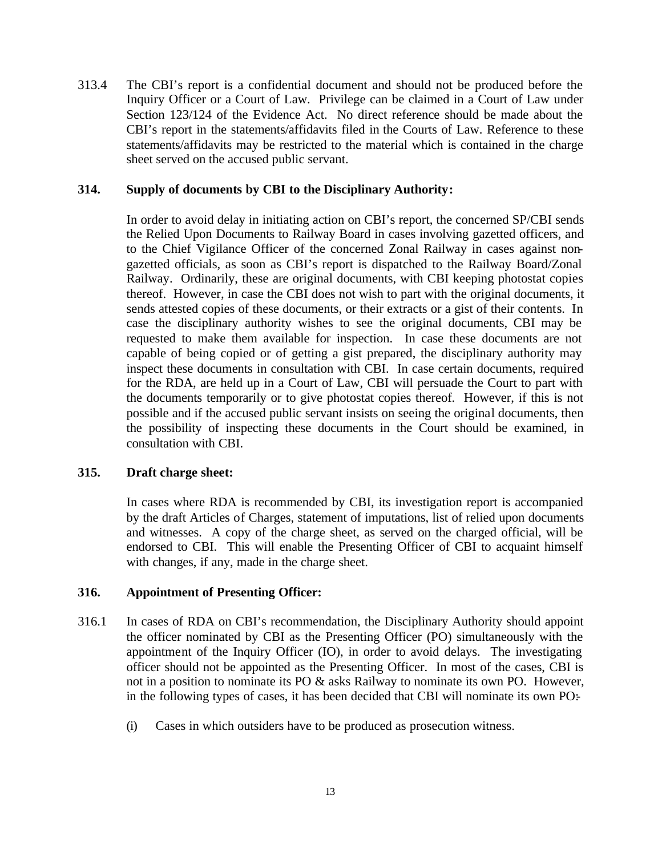313.4 The CBI's report is a confidential document and should not be produced before the Inquiry Officer or a Court of Law. Privilege can be claimed in a Court of Law under Section 123/124 of the Evidence Act. No direct reference should be made about the CBI's report in the statements/affidavits filed in the Courts of Law. Reference to these statements/affidavits may be restricted to the material which is contained in the charge sheet served on the accused public servant.

#### **314. Supply of documents by CBI to the Disciplinary Authority:**

In order to avoid delay in initiating action on CBI's report, the concerned SP/CBI sends the Relied Upon Documents to Railway Board in cases involving gazetted officers, and to the Chief Vigilance Officer of the concerned Zonal Railway in cases against nongazetted officials, as soon as CBI's report is dispatched to the Railway Board/Zonal Railway. Ordinarily, these are original documents, with CBI keeping photostat copies thereof. However, in case the CBI does not wish to part with the original documents, it sends attested copies of these documents, or their extracts or a gist of their contents. In case the disciplinary authority wishes to see the original documents, CBI may be requested to make them available for inspection. In case these documents are not capable of being copied or of getting a gist prepared, the disciplinary authority may inspect these documents in consultation with CBI. In case certain documents, required for the RDA, are held up in a Court of Law, CBI will persuade the Court to part with the documents temporarily or to give photostat copies thereof. However, if this is not possible and if the accused public servant insists on seeing the original documents, then the possibility of inspecting these documents in the Court should be examined, in consultation with CBI.

## **315. Draft charge sheet:**

In cases where RDA is recommended by CBI, its investigation report is accompanied by the draft Articles of Charges, statement of imputations, list of relied upon documents and witnesses. A copy of the charge sheet, as served on the charged official, will be endorsed to CBI. This will enable the Presenting Officer of CBI to acquaint himself with changes, if any, made in the charge sheet.

## **316. Appointment of Presenting Officer:**

- 316.1 In cases of RDA on CBI's recommendation, the Disciplinary Authority should appoint the officer nominated by CBI as the Presenting Officer (PO) simultaneously with the appointment of the Inquiry Officer (IO), in order to avoid delays. The investigating officer should not be appointed as the Presenting Officer. In most of the cases, CBI is not in a position to nominate its PO & asks Railway to nominate its own PO. However, in the following types of cases, it has been decided that CBI will nominate its own PO:-
	- (i) Cases in which outsiders have to be produced as prosecution witness.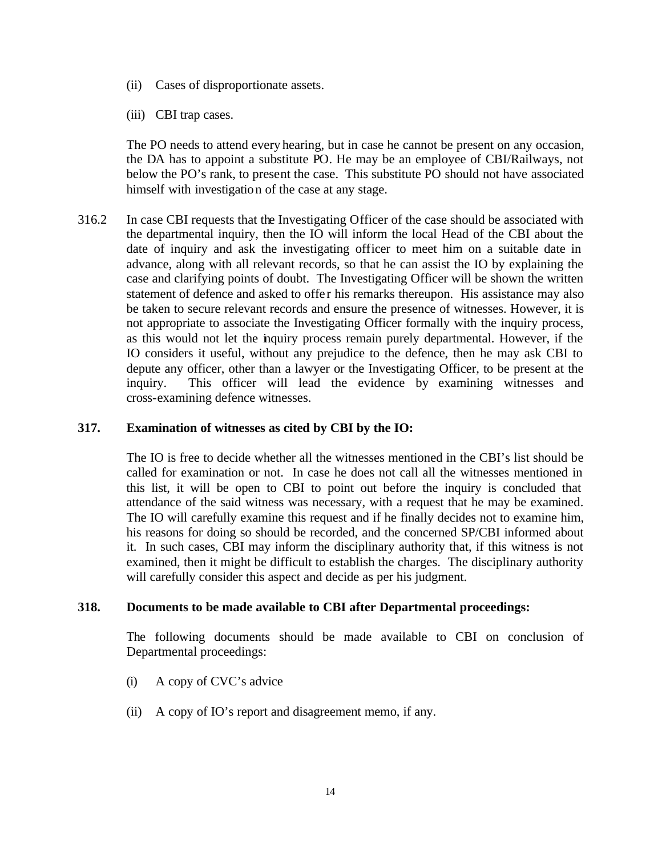- (ii) Cases of disproportionate assets.
- (iii) CBI trap cases.

The PO needs to attend every hearing, but in case he cannot be present on any occasion, the DA has to appoint a substitute PO. He may be an employee of CBI/Railways, not below the PO's rank, to present the case. This substitute PO should not have associated himself with investigation of the case at any stage.

316.2 In case CBI requests that the Investigating Officer of the case should be associated with the departmental inquiry, then the IO will inform the local Head of the CBI about the date of inquiry and ask the investigating officer to meet him on a suitable date in advance, along with all relevant records, so that he can assist the IO by explaining the case and clarifying points of doubt. The Investigating Officer will be shown the written statement of defence and asked to offer his remarks thereupon. His assistance may also be taken to secure relevant records and ensure the presence of witnesses. However, it is not appropriate to associate the Investigating Officer formally with the inquiry process, as this would not let the inquiry process remain purely departmental. However, if the IO considers it useful, without any prejudice to the defence, then he may ask CBI to depute any officer, other than a lawyer or the Investigating Officer, to be present at the inquiry. This officer will lead the evidence by examining witnesses and cross-examining defence witnesses.

## **317. Examination of witnesses as cited by CBI by the IO:**

The IO is free to decide whether all the witnesses mentioned in the CBI's list should be called for examination or not. In case he does not call all the witnesses mentioned in this list, it will be open to CBI to point out before the inquiry is concluded that attendance of the said witness was necessary, with a request that he may be examined. The IO will carefully examine this request and if he finally decides not to examine him, his reasons for doing so should be recorded, and the concerned SP/CBI informed about it. In such cases, CBI may inform the disciplinary authority that, if this witness is not examined, then it might be difficult to establish the charges. The disciplinary authority will carefully consider this aspect and decide as per his judgment.

#### **318. Documents to be made available to CBI after Departmental proceedings:**

The following documents should be made available to CBI on conclusion of Departmental proceedings:

- (i) A copy of CVC's advice
- (ii) A copy of IO's report and disagreement memo, if any.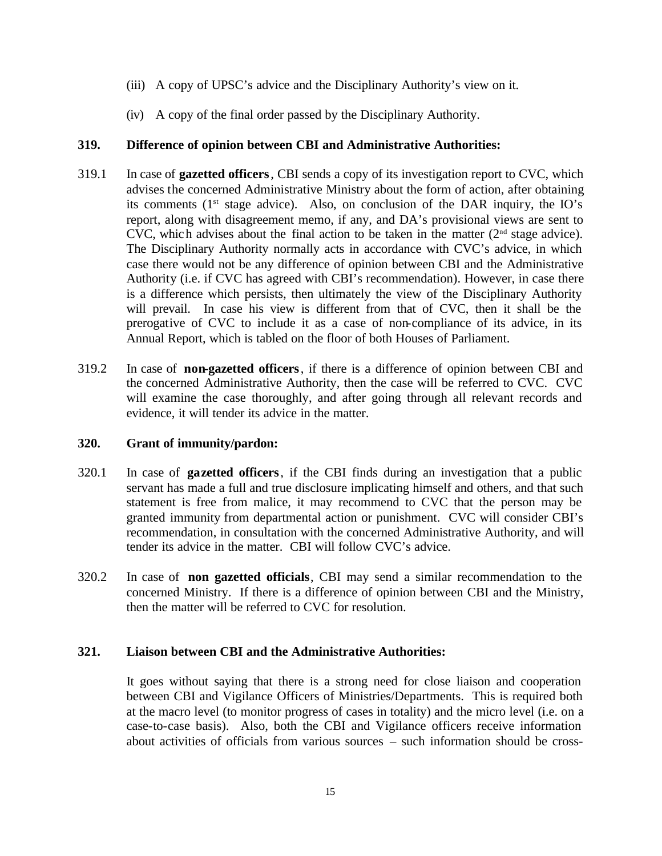- (iii) A copy of UPSC's advice and the Disciplinary Authority's view on it.
- (iv) A copy of the final order passed by the Disciplinary Authority.

# **319. Difference of opinion between CBI and Administrative Authorities:**

- 319.1 In case of **gazetted officers**, CBI sends a copy of its investigation report to CVC, which advises the concerned Administrative Ministry about the form of action, after obtaining its comments  $(1<sup>st</sup> stage advice)$ . Also, on conclusion of the DAR inquiry, the IO's report, along with disagreement memo, if any, and DA's provisional views are sent to CVC, which advises about the final action to be taken in the matter  $(2<sup>nd</sup> stage advice)$ . The Disciplinary Authority normally acts in accordance with CVC's advice, in which case there would not be any difference of opinion between CBI and the Administrative Authority (i.e. if CVC has agreed with CBI's recommendation). However, in case there is a difference which persists, then ultimately the view of the Disciplinary Authority will prevail. In case his view is different from that of CVC, then it shall be the prerogative of CVC to include it as a case of non-compliance of its advice, in its Annual Report, which is tabled on the floor of both Houses of Parliament.
- 319.2 In case of **non-gazetted officers**, if there is a difference of opinion between CBI and the concerned Administrative Authority, then the case will be referred to CVC. CVC will examine the case thoroughly, and after going through all relevant records and evidence, it will tender its advice in the matter.

# **320. Grant of immunity/pardon:**

- 320.1 In case of **gazetted officers**, if the CBI finds during an investigation that a public servant has made a full and true disclosure implicating himself and others, and that such statement is free from malice, it may recommend to CVC that the person may be granted immunity from departmental action or punishment. CVC will consider CBI's recommendation, in consultation with the concerned Administrative Authority, and will tender its advice in the matter. CBI will follow CVC's advice.
- 320.2 In case of **non gazetted officials**, CBI may send a similar recommendation to the concerned Ministry. If there is a difference of opinion between CBI and the Ministry, then the matter will be referred to CVC for resolution.

# **321. Liaison between CBI and the Administrative Authorities:**

It goes without saying that there is a strong need for close liaison and cooperation between CBI and Vigilance Officers of Ministries/Departments. This is required both at the macro level (to monitor progress of cases in totality) and the micro level (i.e. on a case-to-case basis). Also, both the CBI and Vigilance officers receive information about activities of officials from various sources – such information should be cross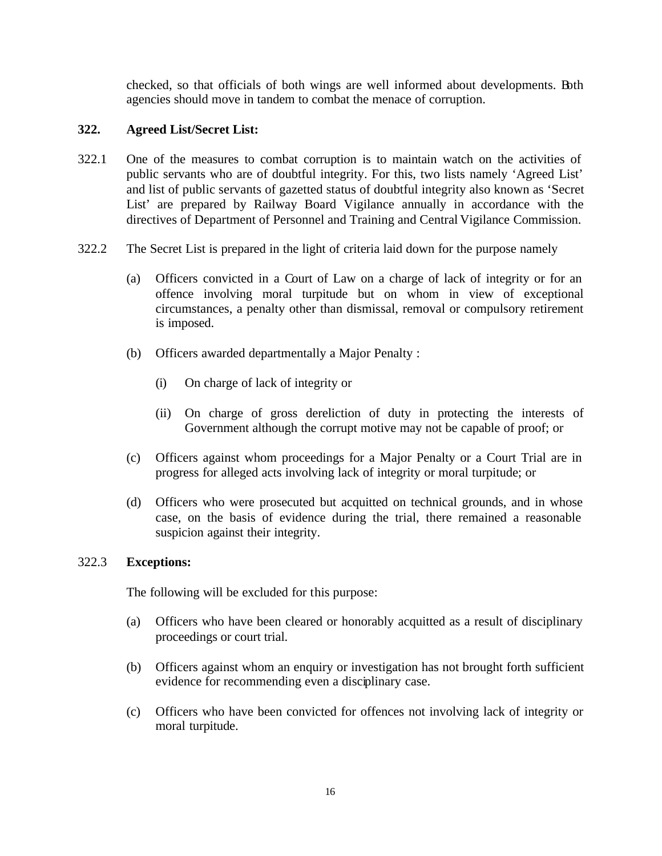checked, so that officials of both wings are well informed about developments. Both agencies should move in tandem to combat the menace of corruption.

## **322. Agreed List/Secret List:**

- 322.1 One of the measures to combat corruption is to maintain watch on the activities of public servants who are of doubtful integrity. For this, two lists namely 'Agreed List' and list of public servants of gazetted status of doubtful integrity also known as 'Secret List' are prepared by Railway Board Vigilance annually in accordance with the directives of Department of Personnel and Training and Central Vigilance Commission.
- 322.2 The Secret List is prepared in the light of criteria laid down for the purpose namely
	- (a) Officers convicted in a Court of Law on a charge of lack of integrity or for an offence involving moral turpitude but on whom in view of exceptional circumstances, a penalty other than dismissal, removal or compulsory retirement is imposed.
	- (b) Officers awarded departmentally a Major Penalty :
		- (i) On charge of lack of integrity or
		- (ii) On charge of gross dereliction of duty in protecting the interests of Government although the corrupt motive may not be capable of proof; or
	- (c) Officers against whom proceedings for a Major Penalty or a Court Trial are in progress for alleged acts involving lack of integrity or moral turpitude; or
	- (d) Officers who were prosecuted but acquitted on technical grounds, and in whose case, on the basis of evidence during the trial, there remained a reasonable suspicion against their integrity.

## 322.3 **Exceptions:**

The following will be excluded for this purpose:

- (a) Officers who have been cleared or honorably acquitted as a result of disciplinary proceedings or court trial.
- (b) Officers against whom an enquiry or investigation has not brought forth sufficient evidence for recommending even a disciplinary case.
- (c) Officers who have been convicted for offences not involving lack of integrity or moral turpitude.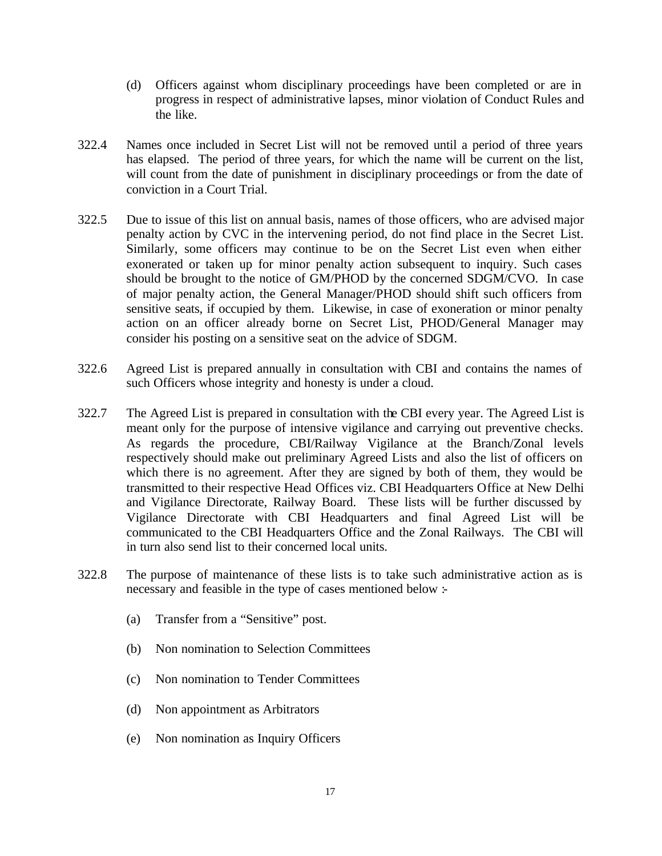- (d) Officers against whom disciplinary proceedings have been completed or are in progress in respect of administrative lapses, minor violation of Conduct Rules and the like.
- 322.4 Names once included in Secret List will not be removed until a period of three years has elapsed. The period of three years, for which the name will be current on the list, will count from the date of punishment in disciplinary proceedings or from the date of conviction in a Court Trial.
- 322.5 Due to issue of this list on annual basis, names of those officers, who are advised major penalty action by CVC in the intervening period, do not find place in the Secret List. Similarly, some officers may continue to be on the Secret List even when either exonerated or taken up for minor penalty action subsequent to inquiry. Such cases should be brought to the notice of GM/PHOD by the concerned SDGM/CVO. In case of major penalty action, the General Manager/PHOD should shift such officers from sensitive seats, if occupied by them. Likewise, in case of exoneration or minor penalty action on an officer already borne on Secret List, PHOD/General Manager may consider his posting on a sensitive seat on the advice of SDGM.
- 322.6 Agreed List is prepared annually in consultation with CBI and contains the names of such Officers whose integrity and honesty is under a cloud.
- 322.7 The Agreed List is prepared in consultation with the CBI every year. The Agreed List is meant only for the purpose of intensive vigilance and carrying out preventive checks. As regards the procedure, CBI/Railway Vigilance at the Branch/Zonal levels respectively should make out preliminary Agreed Lists and also the list of officers on which there is no agreement. After they are signed by both of them, they would be transmitted to their respective Head Offices viz. CBI Headquarters Office at New Delhi and Vigilance Directorate, Railway Board. These lists will be further discussed by Vigilance Directorate with CBI Headquarters and final Agreed List will be communicated to the CBI Headquarters Office and the Zonal Railways. The CBI will in turn also send list to their concerned local units.
- 322.8 The purpose of maintenance of these lists is to take such administrative action as is necessary and feasible in the type of cases mentioned below :-
	- (a) Transfer from a "Sensitive" post.
	- (b) Non nomination to Selection Committees
	- (c) Non nomination to Tender Committees
	- (d) Non appointment as Arbitrators
	- (e) Non nomination as Inquiry Officers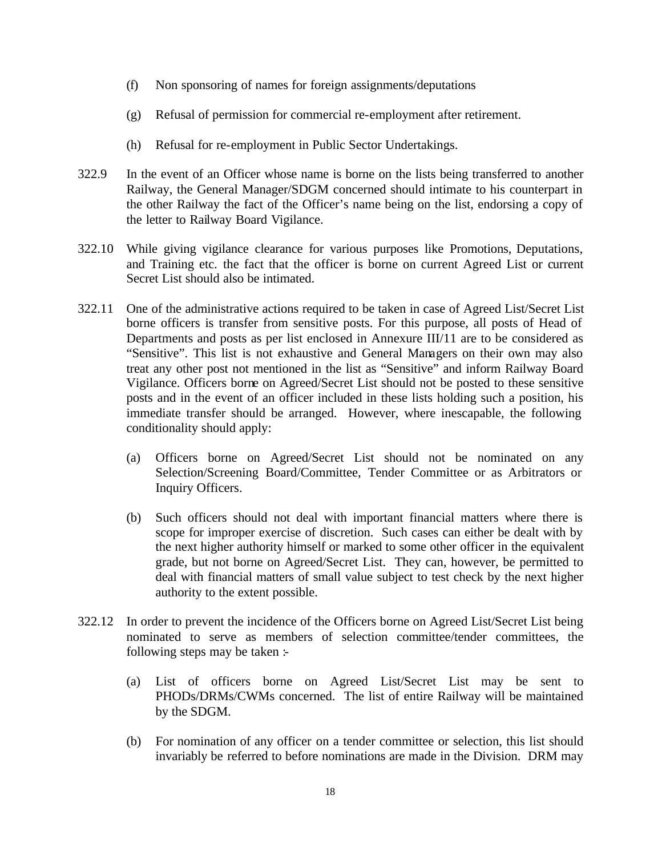- (f) Non sponsoring of names for foreign assignments/deputations
- (g) Refusal of permission for commercial re-employment after retirement.
- (h) Refusal for re-employment in Public Sector Undertakings.
- 322.9 In the event of an Officer whose name is borne on the lists being transferred to another Railway, the General Manager/SDGM concerned should intimate to his counterpart in the other Railway the fact of the Officer's name being on the list, endorsing a copy of the letter to Railway Board Vigilance.
- 322.10 While giving vigilance clearance for various purposes like Promotions, Deputations, and Training etc. the fact that the officer is borne on current Agreed List or current Secret List should also be intimated.
- 322.11 One of the administrative actions required to be taken in case of Agreed List/Secret List borne officers is transfer from sensitive posts. For this purpose, all posts of Head of Departments and posts as per list enclosed in Annexure III/11 are to be considered as "Sensitive". This list is not exhaustive and General Managers on their own may also treat any other post not mentioned in the list as "Sensitive" and inform Railway Board Vigilance. Officers borne on Agreed/Secret List should not be posted to these sensitive posts and in the event of an officer included in these lists holding such a position, his immediate transfer should be arranged. However, where inescapable, the following conditionality should apply:
	- (a) Officers borne on Agreed/Secret List should not be nominated on any Selection/Screening Board/Committee, Tender Committee or as Arbitrators or Inquiry Officers.
	- (b) Such officers should not deal with important financial matters where there is scope for improper exercise of discretion. Such cases can either be dealt with by the next higher authority himself or marked to some other officer in the equivalent grade, but not borne on Agreed/Secret List. They can, however, be permitted to deal with financial matters of small value subject to test check by the next higher authority to the extent possible.
- 322.12 In order to prevent the incidence of the Officers borne on Agreed List/Secret List being nominated to serve as members of selection committee/tender committees, the following steps may be taken :-
	- (a) List of officers borne on Agreed List/Secret List may be sent to PHODs/DRMs/CWMs concerned. The list of entire Railway will be maintained by the SDGM.
	- (b) For nomination of any officer on a tender committee or selection, this list should invariably be referred to before nominations are made in the Division. DRM may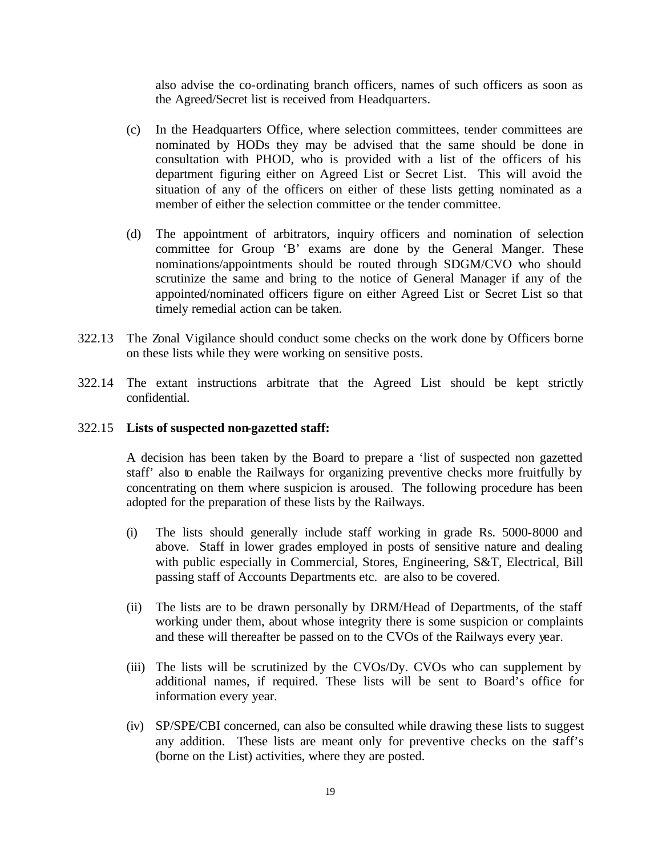also advise the co-ordinating branch officers, names of such officers as soon as the Agreed/Secret list is received from Headquarters.

- (c) In the Headquarters Office, where selection committees, tender committees are nominated by HODs they may be advised that the same should be done in consultation with PHOD, who is provided with a list of the officers of his department figuring either on Agreed List or Secret List. This will avoid the situation of any of the officers on either of these lists getting nominated as a member of either the selection committee or the tender committee.
- (d) The appointment of arbitrators, inquiry officers and nomination of selection committee for Group 'B' exams are done by the General Manger. These nominations/appointments should be routed through SDGM/CVO who should scrutinize the same and bring to the notice of General Manager if any of the appointed/nominated officers figure on either Agreed List or Secret List so that timely remedial action can be taken.
- 322.13 The Zonal Vigilance should conduct some checks on the work done by Officers borne on these lists while they were working on sensitive posts.
- 322.14 The extant instructions arbitrate that the Agreed List should be kept strictly confidential.
- 322.15 **Lists of suspected non-gazetted staff:**

A decision has been taken by the Board to prepare a 'list of suspected non gazetted staff' also to enable the Railways for organizing preventive checks more fruitfully by concentrating on them where suspicion is aroused. The following procedure has been adopted for the preparation of these lists by the Railways.

- (i) The lists should generally include staff working in grade Rs. 5000-8000 and above. Staff in lower grades employed in posts of sensitive nature and dealing with public especially in Commercial, Stores, Engineering, S&T, Electrical, Bill passing staff of Accounts Departments etc. are also to be covered.
- (ii) The lists are to be drawn personally by DRM/Head of Departments, of the staff working under them, about whose integrity there is some suspicion or complaints and these will thereafter be passed on to the CVOs of the Railways every year.
- (iii) The lists will be scrutinized by the CVOs/Dy. CVOs who can supplement by additional names, if required. These lists will be sent to Board's office for information every year.
- (iv) SP/SPE/CBI concerned, can also be consulted while drawing these lists to suggest any addition. These lists are meant only for preventive checks on the staff's (borne on the List) activities, where they are posted.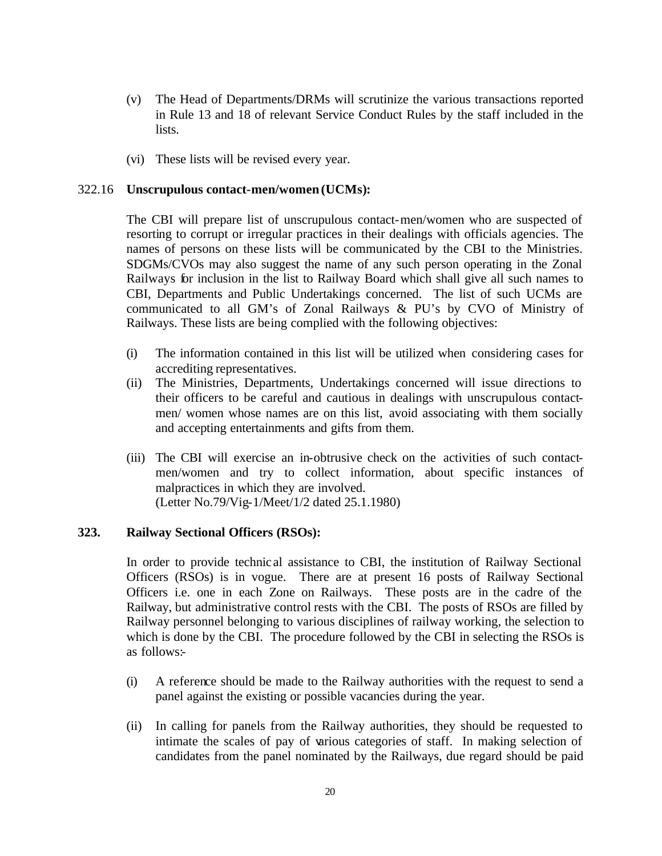- (v) The Head of Departments/DRMs will scrutinize the various transactions reported in Rule 13 and 18 of relevant Service Conduct Rules by the staff included in the lists.
- (vi) These lists will be revised every year.

#### 322.16 **Unscrupulous contact-men/women (UCMs):**

The CBI will prepare list of unscrupulous contact-men/women who are suspected of resorting to corrupt or irregular practices in their dealings with officials agencies. The names of persons on these lists will be communicated by the CBI to the Ministries. SDGMs/CVOs may also suggest the name of any such person operating in the Zonal Railways for inclusion in the list to Railway Board which shall give all such names to CBI, Departments and Public Undertakings concerned. The list of such UCMs are communicated to all GM's of Zonal Railways & PU's by CVO of Ministry of Railways. These lists are being complied with the following objectives:

- (i) The information contained in this list will be utilized when considering cases for accrediting representatives.
- (ii) The Ministries, Departments, Undertakings concerned will issue directions to their officers to be careful and cautious in dealings with unscrupulous contactmen/ women whose names are on this list, avoid associating with them socially and accepting entertainments and gifts from them.
- (iii) The CBI will exercise an in-obtrusive check on the activities of such contactmen/women and try to collect information, about specific instances of malpractices in which they are involved. (Letter No.79/Vig-1/Meet/1/2 dated 25.1.1980)

#### **323. Railway Sectional Officers (RSOs):**

In order to provide technic al assistance to CBI, the institution of Railway Sectional Officers (RSOs) is in vogue. There are at present 16 posts of Railway Sectional Officers i.e. one in each Zone on Railways. These posts are in the cadre of the Railway, but administrative control rests with the CBI. The posts of RSOs are filled by Railway personnel belonging to various disciplines of railway working, the selection to which is done by the CBI. The procedure followed by the CBI in selecting the RSOs is as follows:-

- (i) A reference should be made to the Railway authorities with the request to send a panel against the existing or possible vacancies during the year.
- (ii) In calling for panels from the Railway authorities, they should be requested to intimate the scales of pay of various categories of staff. In making selection of candidates from the panel nominated by the Railways, due regard should be paid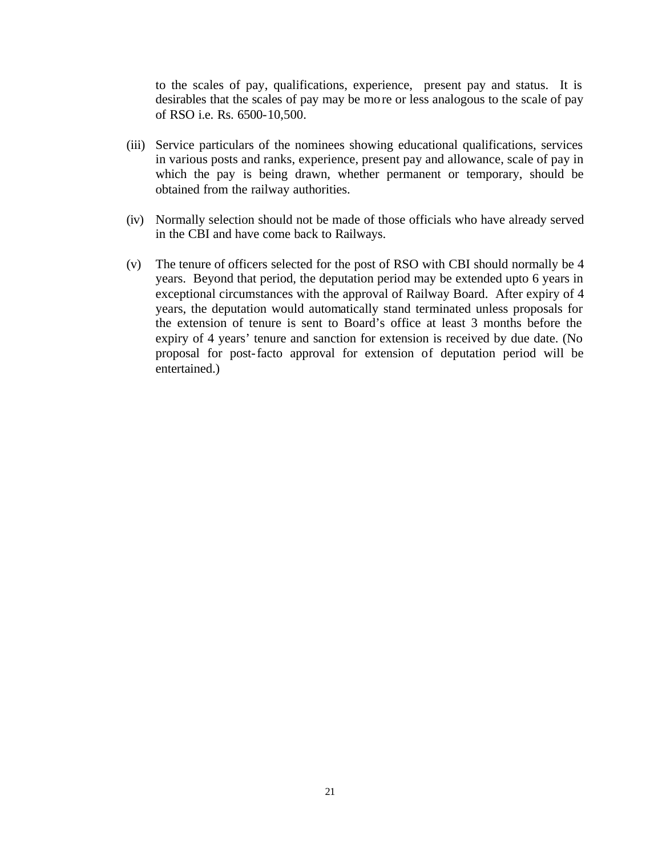to the scales of pay, qualifications, experience, present pay and status. It is desirables that the scales of pay may be more or less analogous to the scale of pay of RSO i.e. Rs. 6500-10,500.

- (iii) Service particulars of the nominees showing educational qualifications, services in various posts and ranks, experience, present pay and allowance, scale of pay in which the pay is being drawn, whether permanent or temporary, should be obtained from the railway authorities.
- (iv) Normally selection should not be made of those officials who have already served in the CBI and have come back to Railways.
- (v) The tenure of officers selected for the post of RSO with CBI should normally be 4 years. Beyond that period, the deputation period may be extended upto 6 years in exceptional circumstances with the approval of Railway Board. After expiry of 4 years, the deputation would automatically stand terminated unless proposals for the extension of tenure is sent to Board's office at least 3 months before the expiry of 4 years' tenure and sanction for extension is received by due date. (No proposal for post-facto approval for extension of deputation period will be entertained.)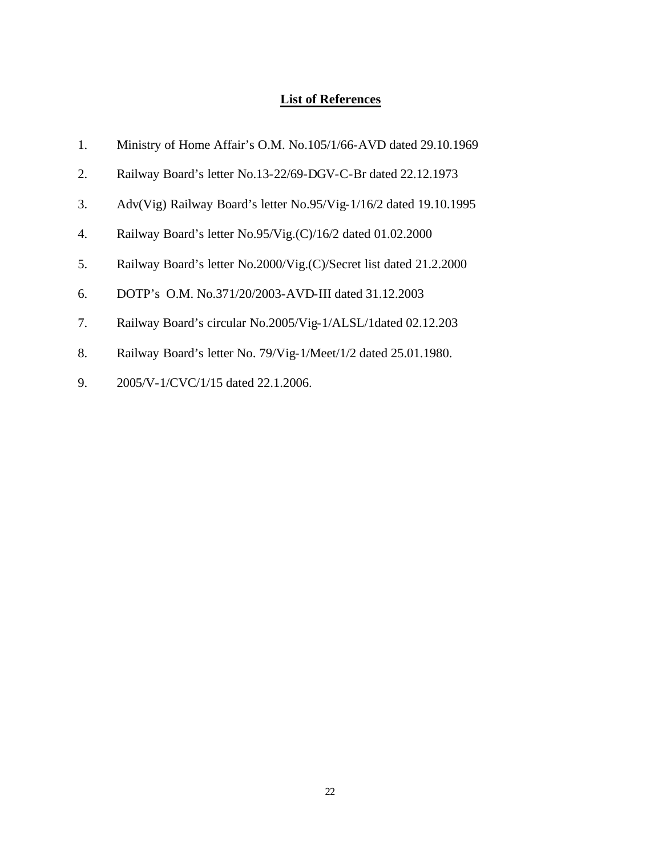# **List of References**

| 1.               | Ministry of Home Affair's O.M. No.105/1/66-AVD dated 29.10.1969    |
|------------------|--------------------------------------------------------------------|
| 2.               | Railway Board's letter No.13-22/69-DGV-C-Br dated 22.12.1973       |
| 3.               | Adv(Vig) Railway Board's letter No.95/Vig-1/16/2 dated 19.10.1995  |
| $\overline{4}$ . | Railway Board's letter No.95/Vig.(C)/16/2 dated 01.02.2000         |
| 5.               | Railway Board's letter No.2000/Vig.(C)/Secret list dated 21.2.2000 |
| 6.               | DOTP's O.M. No.371/20/2003-AVD-III dated 31.12.2003                |
| 7.               | Railway Board's circular No.2005/Vig-1/ALSL/1dated 02.12.203       |
| 8.               | Railway Board's letter No. 79/Vig-1/Meet/1/2 dated 25.01.1980.     |
| 9.               | 2005/V-1/CVC/1/15 dated 22.1.2006.                                 |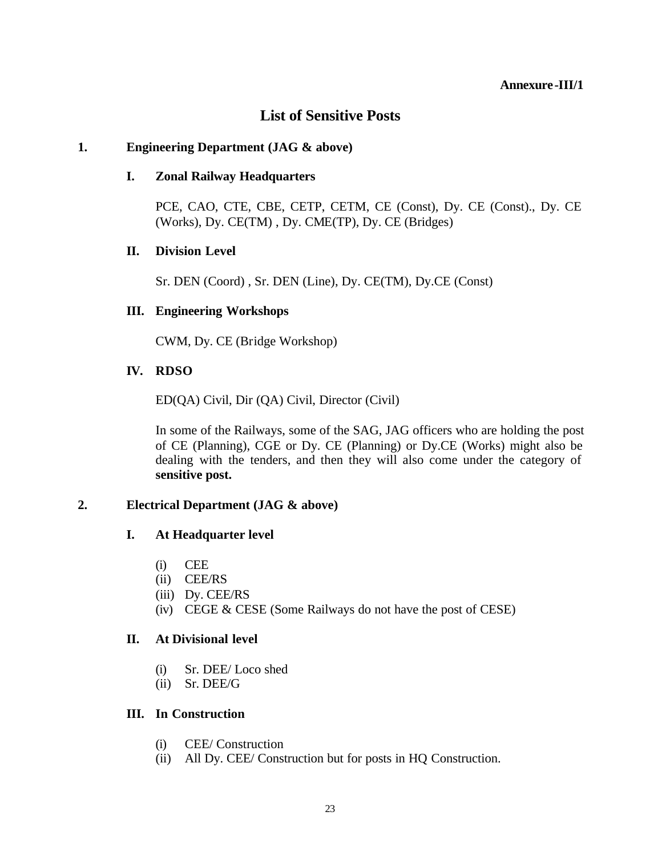#### **Annexure-III/1**

# **List of Sensitive Posts**

## **1. Engineering Department (JAG & above)**

## **I. Zonal Railway Headquarters**

PCE, CAO, CTE, CBE, CETP, CETM, CE (Const), Dy. CE (Const)., Dy. CE (Works), Dy. CE(TM) , Dy. CME(TP), Dy. CE (Bridges)

## **II. Division Level**

Sr. DEN (Coord) , Sr. DEN (Line), Dy. CE(TM), Dy.CE (Const)

# **III. Engineering Workshops**

CWM, Dy. CE (Bridge Workshop)

# **IV. RDSO**

ED(QA) Civil, Dir (QA) Civil, Director (Civil)

In some of the Railways, some of the SAG, JAG officers who are holding the post of CE (Planning), CGE or Dy. CE (Planning) or Dy.CE (Works) might also be dealing with the tenders, and then they will also come under the category of **sensitive post.** 

# **2. Electrical Department (JAG & above)**

# **I. At Headquarter level**

- (i) CEE
- (ii) CEE/RS
- (iii) Dy. CEE/RS
- (iv) CEGE & CESE (Some Railways do not have the post of CESE)

## **II. At Divisional level**

- (i) Sr. DEE/ Loco shed
- (ii) Sr. DEE/G

# **III. In Construction**

- (i) CEE/ Construction
- (ii) All Dy. CEE/ Construction but for posts in HQ Construction.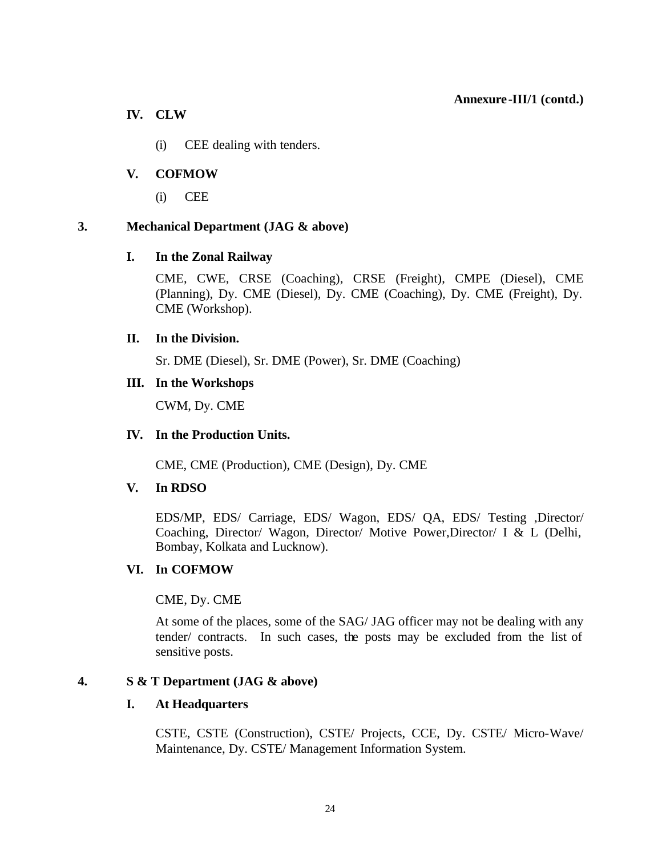#### **Annexure-III/1 (contd.)**

## **IV. CLW**

(i) CEE dealing with tenders.

# **V. COFMOW**

(i) CEE

# **3. Mechanical Department (JAG & above)**

# **I. In the Zonal Railway**

CME, CWE, CRSE (Coaching), CRSE (Freight), CMPE (Diesel), CME (Planning), Dy. CME (Diesel), Dy. CME (Coaching), Dy. CME (Freight), Dy. CME (Workshop).

## **II. In the Division.**

Sr. DME (Diesel), Sr. DME (Power), Sr. DME (Coaching)

## **III. In the Workshops**

CWM, Dy. CME

## **IV. In the Production Units.**

CME, CME (Production), CME (Design), Dy. CME

## **V. In RDSO**

EDS/MP, EDS/ Carriage, EDS/ Wagon, EDS/ QA, EDS/ Testing ,Director/ Coaching, Director/ Wagon, Director/ Motive Power,Director/ I & L (Delhi, Bombay, Kolkata and Lucknow).

## **VI. In COFMOW**

## CME, Dy. CME

At some of the places, some of the SAG/ JAG officer may not be dealing with any tender/ contracts. In such cases, the posts may be excluded from the list of sensitive posts.

## **4. S & T Department (JAG & above)**

## **I. At Headquarters**

CSTE, CSTE (Construction), CSTE/ Projects, CCE, Dy. CSTE/ Micro-Wave/ Maintenance, Dy. CSTE/ Management Information System.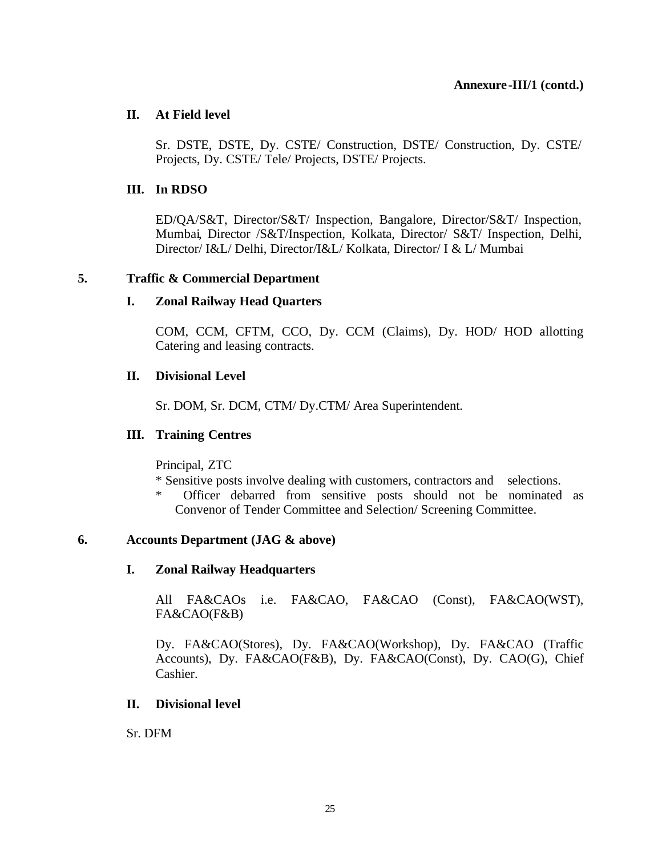#### **Annexure-III/1 (contd.)**

## **II. At Field level**

Sr. DSTE, DSTE, Dy. CSTE/ Construction, DSTE/ Construction, Dy. CSTE/ Projects, Dy. CSTE/ Tele/ Projects, DSTE/ Projects.

# **III. In RDSO**

ED/QA/S&T, Director/S&T/ Inspection, Bangalore, Director/S&T/ Inspection, Mumbai, Director /S&T/Inspection, Kolkata, Director/ S&T/ Inspection, Delhi, Director/ I&L/ Delhi, Director/I&L/ Kolkata, Director/ I & L/ Mumbai

## **5. Traffic & Commercial Department**

# **I. Zonal Railway Head Quarters**

COM, CCM, CFTM, CCO, Dy. CCM (Claims), Dy. HOD/ HOD allotting Catering and leasing contracts.

# **II. Divisional Level**

Sr. DOM, Sr. DCM, CTM/ Dy.CTM/ Area Superintendent.

# **III. Training Centres**

Principal, ZTC

- \* Sensitive posts involve dealing with customers, contractors and selections.
- Officer debarred from sensitive posts should not be nominated as Convenor of Tender Committee and Selection/ Screening Committee.

## **6. Accounts Department (JAG & above)**

## **I. Zonal Railway Headquarters**

All FA&CAOs i.e. FA&CAO, FA&CAO (Const), FA&CAO(WST), FA&CAO(F&B)

Dy. FA&CAO(Stores), Dy. FA&CAO(Workshop), Dy. FA&CAO (Traffic Accounts), Dy. FA&CAO(F&B), Dy. FA&CAO(Const), Dy. CAO(G), Chief Cashier.

## **II. Divisional level**

Sr. DFM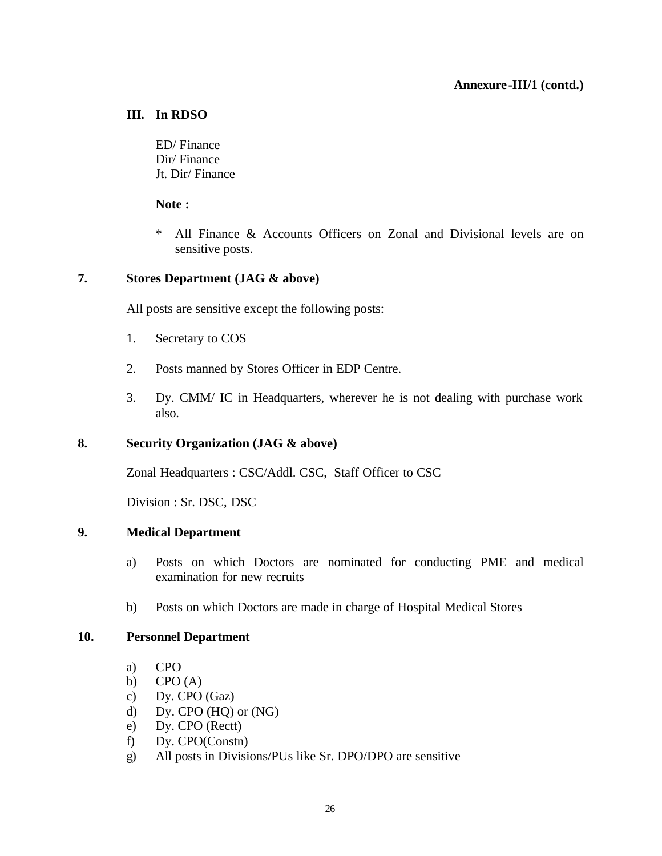#### **Annexure-III/1 (contd.)**

#### **III. In RDSO**

ED/ Finance Dir/ Finance Jt. Dir/ Finance

**Note :**

\* All Finance & Accounts Officers on Zonal and Divisional levels are on sensitive posts.

#### **7. Stores Department (JAG & above)**

All posts are sensitive except the following posts:

- 1. Secretary to COS
- 2. Posts manned by Stores Officer in EDP Centre.
- 3. Dy. CMM/ IC in Headquarters, wherever he is not dealing with purchase work also.

## **8. Security Organization (JAG & above)**

Zonal Headquarters : CSC/Addl. CSC, Staff Officer to CSC

Division : Sr. DSC, DSC

#### **9. Medical Department**

- a) Posts on which Doctors are nominated for conducting PME and medical examination for new recruits
- b) Posts on which Doctors are made in charge of Hospital Medical Stores

#### **10. Personnel Department**

- a) CPO
- b)  $CPO(A)$
- c) Dy. CPO (Gaz)
- d) Dy. CPO (HQ) or (NG)
- e) Dy. CPO (Rectt)
- f) Dy. CPO(Constn)
- g) All posts in Divisions/PUs like Sr. DPO/DPO are sensitive